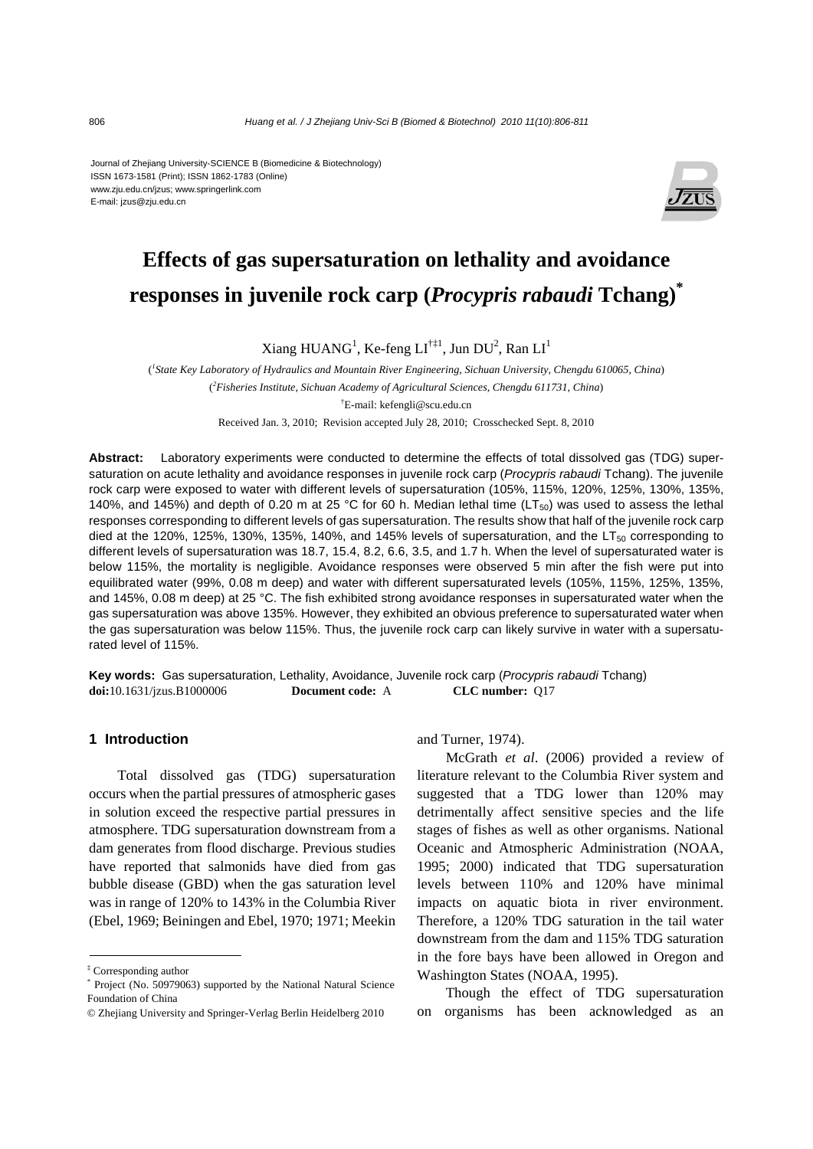Journal of Zhejiang University-SCIENCE B (Biomedicine & Biotechnology) ISSN 1673-1581 (Print); ISSN 1862-1783 (Online) www.zju.edu.cn/jzus; www.springerlink.com E-mail: jzus@zju.edu.cn



# **Effects of gas supersaturation on lethality and avoidance responses in juvenile rock carp (***Procypris rabaudi* **Tchang)\***

 $X$ iang HUANG<sup>1</sup>, Ke-feng LI<sup>†‡1</sup>, Jun DU<sup>2</sup>, Ran LI<sup>1</sup>

( *1 State Key Laboratory of Hydraulics and Mountain River Engineering, Sichuan University, Chengdu 610065, China*) ( *2 Fisheries Institute, Sichuan Academy of Agricultural Sciences, Chengdu 611731, China*) † E-mail: kefengli@scu.edu.cn Received Jan. 3, 2010; Revision accepted July 28, 2010; Crosschecked Sept. 8, 2010

**Abstract:** Laboratory experiments were conducted to determine the effects of total dissolved gas (TDG) supersaturation on acute lethality and avoidance responses in juvenile rock carp (*Procypris rabaudi* Tchang). The juvenile rock carp were exposed to water with different levels of supersaturation (105%, 115%, 120%, 125%, 130%, 135%, 140%, and 145%) and depth of 0.20 m at 25 °C for 60 h. Median lethal time (LT<sub>50</sub>) was used to assess the lethal responses corresponding to different levels of gas supersaturation. The results show that half of the juvenile rock carp died at the 120%, 125%, 130%, 135%, 140%, and 145% levels of supersaturation, and the  $LT_{50}$  corresponding to different levels of supersaturation was 18.7, 15.4, 8.2, 6.6, 3.5, and 1.7 h. When the level of supersaturated water is below 115%, the mortality is negligible. Avoidance responses were observed 5 min after the fish were put into equilibrated water (99%, 0.08 m deep) and water with different supersaturated levels (105%, 115%, 125%, 135%, and 145%, 0.08 m deep) at 25 °C. The fish exhibited strong avoidance responses in supersaturated water when the gas supersaturation was above 135%. However, they exhibited an obvious preference to supersaturated water when the gas supersaturation was below 115%. Thus, the juvenile rock carp can likely survive in water with a supersaturated level of 115%.

**Key words:** Gas supersaturation, Lethality, Avoidance, Juvenile rock carp (*Procypris rabaudi* Tchang) **doi:**10.1631/jzus.B1000006 **Document code:** A **CLC number:** Q17

### **1 Introduction**

Total dissolved gas (TDG) supersaturation occurs when the partial pressures of atmospheric gases in solution exceed the respective partial pressures in atmosphere. TDG supersaturation downstream from a dam generates from flood discharge. Previous studies have reported that salmonids have died from gas bubble disease (GBD) when the gas saturation level was in range of 120% to 143% in the Columbia River (Ebel, 1969; Beiningen and Ebel, 1970; 1971; Meekin

and Turner, 1974).

McGrath *et al*. (2006) provided a review of literature relevant to the Columbia River system and suggested that a TDG lower than 120% may detrimentally affect sensitive species and the life stages of fishes as well as other organisms. National Oceanic and Atmospheric Administration (NOAA, 1995; 2000) indicated that TDG supersaturation levels between 110% and 120% have minimal impacts on aquatic biota in river environment. Therefore, a 120% TDG saturation in the tail water downstream from the dam and 115% TDG saturation in the fore bays have been allowed in Oregon and Washington States (NOAA, 1995).

Though the effect of TDG supersaturation on organisms has been acknowledged as an

<sup>‡</sup> Corresponding author

<sup>\*</sup> Project (No. 50979063) supported by the National Natural Science Foundation of China

<sup>©</sup> Zhejiang University and Springer-Verlag Berlin Heidelberg 2010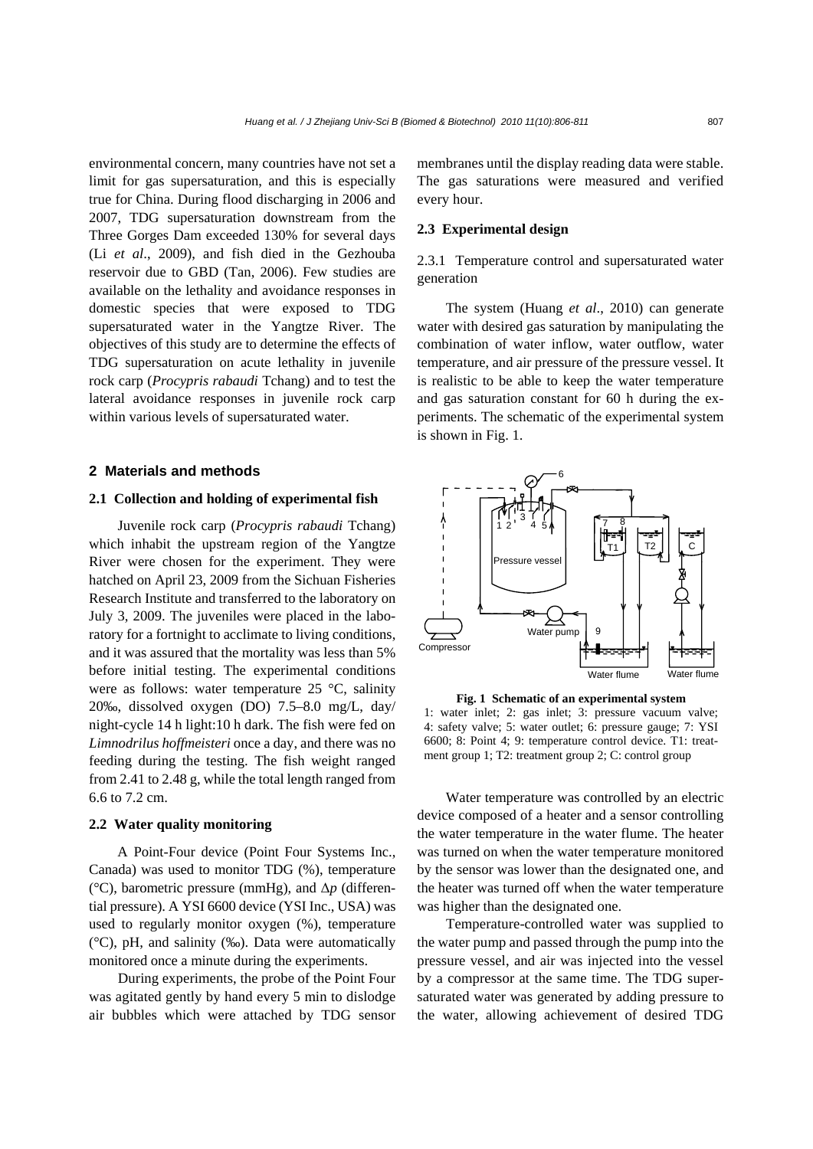environmental concern, many countries have not set a limit for gas supersaturation, and this is especially true for China. During flood discharging in 2006 and 2007, TDG supersaturation downstream from the Three Gorges Dam exceeded 130% for several days (Li *et al*., 2009), and fish died in the Gezhouba reservoir due to GBD (Tan, 2006). Few studies are available on the lethality and avoidance responses in domestic species that were exposed to TDG supersaturated water in the Yangtze River. The objectives of this study are to determine the effects of TDG supersaturation on acute lethality in juvenile rock carp (*Procypris rabaudi* Tchang) and to test the lateral avoidance responses in juvenile rock carp within various levels of supersaturated water.

### **2 Materials and methods**

## **2.1 Collection and holding of experimental fish**

Juvenile rock carp (*Procypris rabaudi* Tchang) which inhabit the upstream region of the Yangtze River were chosen for the experiment. They were hatched on April 23, 2009 from the Sichuan Fisheries Research Institute and transferred to the laboratory on July 3, 2009. The juveniles were placed in the laboratory for a fortnight to acclimate to living conditions, and it was assured that the mortality was less than 5% before initial testing. The experimental conditions were as follows: water temperature 25 °C, salinity 20‰, dissolved oxygen (DO) 7.5–8.0 mg/L, day/ night-cycle 14 h light:10 h dark. The fish were fed on *Limnodrilus hoffmeisteri* once a day, and there was no feeding during the testing. The fish weight ranged from 2.41 to 2.48 g, while the total length ranged from 6.6 to 7.2 cm.

#### **2.2 Water quality monitoring**

A Point-Four device (Point Four Systems Inc., Canada) was used to monitor TDG (%), temperature (°C), barometric pressure (mmHg), and Δ*p* (differential pressure). A YSI 6600 device (YSI Inc., USA) was used to regularly monitor oxygen (%), temperature (°C), pH, and salinity (‰). Data were automatically monitored once a minute during the experiments.

During experiments, the probe of the Point Four was agitated gently by hand every 5 min to dislodge air bubbles which were attached by TDG sensor membranes until the display reading data were stable. The gas saturations were measured and verified every hour.

## **2.3 Experimental design**

2.3.1 Temperature control and supersaturated water generation

The system (Huang *et al*., 2010) can generate water with desired gas saturation by manipulating the combination of water inflow, water outflow, water temperature, and air pressure of the pressure vessel. It is realistic to be able to keep the water temperature and gas saturation constant for 60 h during the experiments. The schematic of the experimental system is shown in Fig. 1.



**Fig. 1 Schematic of an experimental system**  1: water inlet; 2: gas inlet; 3: pressure vacuum valve; 4: safety valve; 5: water outlet; 6: pressure gauge; 7: YSI 6600; 8: Point 4; 9: temperature control device. T1: treatment group 1; T2: treatment group 2; C: control group

Water temperature was controlled by an electric device composed of a heater and a sensor controlling the water temperature in the water flume. The heater was turned on when the water temperature monitored by the sensor was lower than the designated one, and the heater was turned off when the water temperature was higher than the designated one.

Temperature-controlled water was supplied to the water pump and passed through the pump into the pressure vessel, and air was injected into the vessel by a compressor at the same time. The TDG supersaturated water was generated by adding pressure to the water, allowing achievement of desired TDG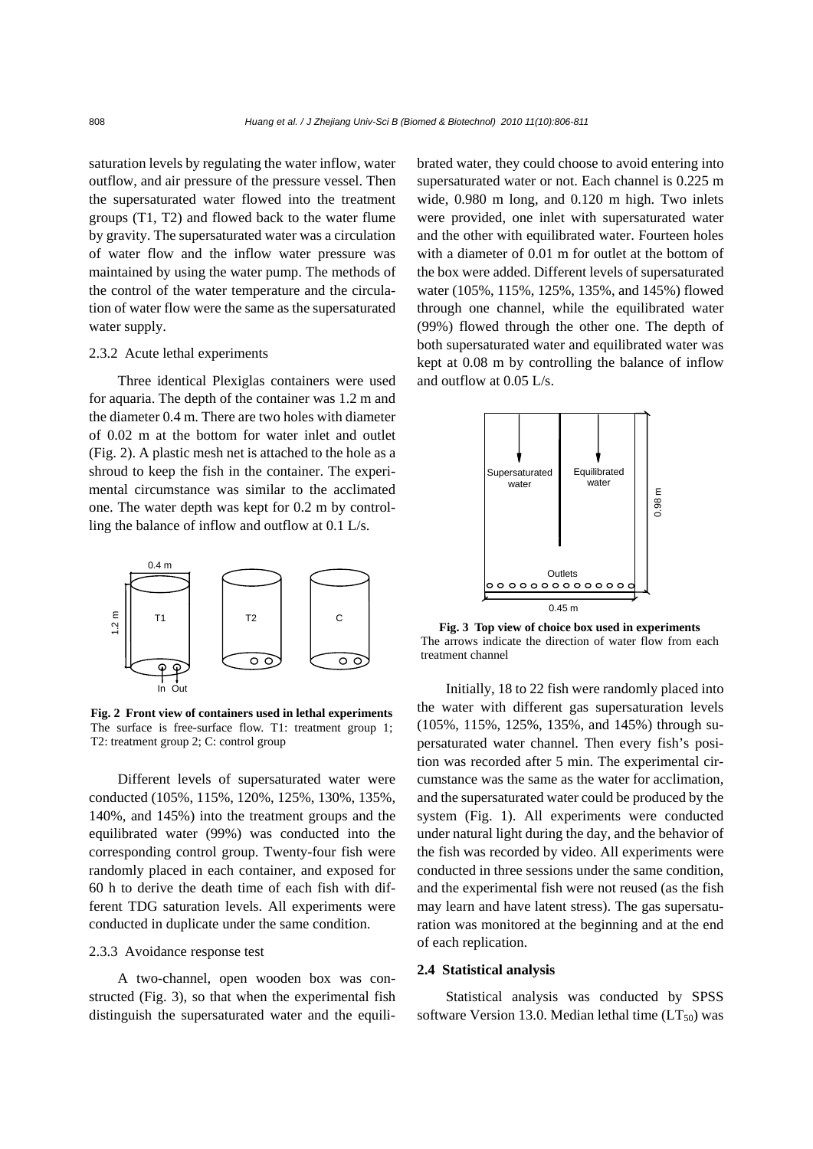saturation levels by regulating the water inflow, water outflow, and air pressure of the pressure vessel. Then the supersaturated water flowed into the treatment groups (T1, T2) and flowed back to the water flume by gravity. The supersaturated water was a circulation of water flow and the inflow water pressure was maintained by using the water pump. The methods of the control of the water temperature and the circulation of water flow were the same as the supersaturated water supply.

## 2.3.2 Acute lethal experiments

Three identical Plexiglas containers were used for aquaria. The depth of the container was 1.2 m and the diameter 0.4 m. There are two holes with diameter of 0.02 m at the bottom for water inlet and outlet (Fig. 2). A plastic mesh net is attached to the hole as a shroud to keep the fish in the container. The experimental circumstance was similar to the acclimated one. The water depth was kept for 0.2 m by controlling the balance of inflow and outflow at 0.1 L/s.



**Fig. 2 Front view of containers used in lethal experiments** The surface is free-surface flow. T1: treatment group 1; T2: treatment group 2; C: control group

Different levels of supersaturated water were conducted (105%, 115%, 120%, 125%, 130%, 135%, 140%, and 145%) into the treatment groups and the equilibrated water (99%) was conducted into the corresponding control group. Twenty-four fish were randomly placed in each container, and exposed for 60 h to derive the death time of each fish with different TDG saturation levels. All experiments were conducted in duplicate under the same condition.

#### 2.3.3 Avoidance response test

A two-channel, open wooden box was constructed (Fig. 3), so that when the experimental fish distinguish the supersaturated water and the equilibrated water, they could choose to avoid entering into supersaturated water or not. Each channel is 0.225 m wide, 0.980 m long, and 0.120 m high. Two inlets were provided, one inlet with supersaturated water and the other with equilibrated water. Fourteen holes with a diameter of 0.01 m for outlet at the bottom of the box were added. Different levels of supersaturated water (105%, 115%, 125%, 135%, and 145%) flowed through one channel, while the equilibrated water (99%) flowed through the other one. The depth of both supersaturated water and equilibrated water was kept at 0.08 m by controlling the balance of inflow and outflow at 0.05 L/s.



**Fig. 3 Top view of choice box used in experiments**  The arrows indicate the direction of water flow from each treatment channel

Initially, 18 to 22 fish were randomly placed into the water with different gas supersaturation levels (105%, 115%, 125%, 135%, and 145%) through supersaturated water channel. Then every fish's position was recorded after 5 min. The experimental circumstance was the same as the water for acclimation, and the supersaturated water could be produced by the system (Fig. 1). All experiments were conducted under natural light during the day, and the behavior of the fish was recorded by video. All experiments were conducted in three sessions under the same condition, and the experimental fish were not reused (as the fish may learn and have latent stress). The gas supersaturation was monitored at the beginning and at the end of each replication.

#### **2.4 Statistical analysis**

Statistical analysis was conducted by SPSS software Version 13.0. Median lethal time  $(LT_{50})$  was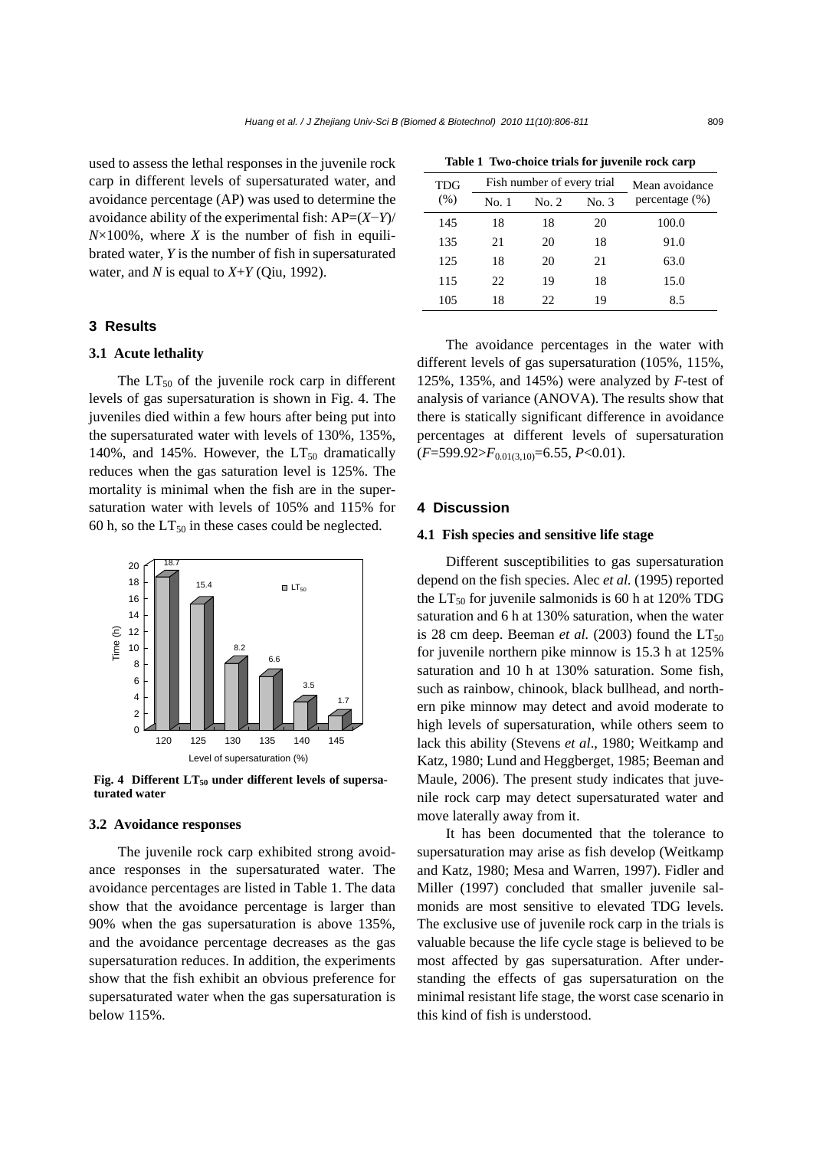used to assess the lethal responses in the juvenile rock carp in different levels of supersaturated water, and avoidance percentage (AP) was used to determine the avoidance ability of the experimental fish: AP=(*X*−*Y*)/  $N \times 100\%$ , where *X* is the number of fish in equilibrated water, *Y* is the number of fish in supersaturated water, and *N* is equal to  $X+Y$  (Qiu, 1992).

## **3 Results**

## **3.1 Acute lethality**

The  $LT_{50}$  of the juvenile rock carp in different levels of gas supersaturation is shown in Fig. 4. The juveniles died within a few hours after being put into the supersaturated water with levels of 130%, 135%, 140%, and 145%. However, the  $LT_{50}$  dramatically reduces when the gas saturation level is 125%. The mortality is minimal when the fish are in the supersaturation water with levels of 105% and 115% for 60 h, so the  $LT_{50}$  in these cases could be neglected.



Fig. 4 Different LT<sub>50</sub> under different levels of supersa**turated water**

#### **3.2 Avoidance responses**

The juvenile rock carp exhibited strong avoidance responses in the supersaturated water. The avoidance percentages are listed in Table 1. The data show that the avoidance percentage is larger than 90% when the gas supersaturation is above 135%, and the avoidance percentage decreases as the gas supersaturation reduces. In addition, the experiments show that the fish exhibit an obvious preference for supersaturated water when the gas supersaturation is below 115%.

**Table 1 Two-choice trials for juvenile rock carp** 

| <b>TDG</b><br>(% ) | Fish number of every trial |       |       | Mean avoidance    |
|--------------------|----------------------------|-------|-------|-------------------|
|                    | No. 1                      | No. 2 | No. 3 | percentage $(\%)$ |
| 145                | 18                         | 18    | 20    | 100.0             |
| 135                | 21                         | 20    | 18    | 91.0              |
| 125                | 18                         | 20    | 21    | 63.0              |
| 115                | 22                         | 19    | 18    | 15.0              |
| 105                | 18                         | 22    | 19    | 8.5               |

The avoidance percentages in the water with different levels of gas supersaturation (105%, 115%, 125%, 135%, and 145%) were analyzed by *F*-test of analysis of variance (ANOVA). The results show that there is statically significant difference in avoidance percentages at different levels of supersaturation (*F*=599.92>*F*0.01(3,10)=6.55, *P*<0.01).

### **4 Discussion**

#### **4.1 Fish species and sensitive life stage**

Different susceptibilities to gas supersaturation depend on the fish species. Alec *et al.* (1995) reported the  $LT_{50}$  for juvenile salmonids is 60 h at 120% TDG saturation and 6 h at 130% saturation, when the water is 28 cm deep. Beeman *et al.* (2003) found the  $LT_{50}$ for juvenile northern pike minnow is 15.3 h at 125% saturation and 10 h at 130% saturation. Some fish, such as rainbow, chinook, black bullhead, and northern pike minnow may detect and avoid moderate to high levels of supersaturation, while others seem to lack this ability (Stevens *et al*., 1980; Weitkamp and Katz, 1980; Lund and Heggberget, 1985; Beeman and Maule, 2006). The present study indicates that juvenile rock carp may detect supersaturated water and move laterally away from it.

It has been documented that the tolerance to supersaturation may arise as fish develop (Weitkamp and Katz, 1980; Mesa and Warren, 1997). Fidler and Miller (1997) concluded that smaller juvenile salmonids are most sensitive to elevated TDG levels. The exclusive use of juvenile rock carp in the trials is valuable because the life cycle stage is believed to be most affected by gas supersaturation. After understanding the effects of gas supersaturation on the minimal resistant life stage, the worst case scenario in this kind of fish is understood.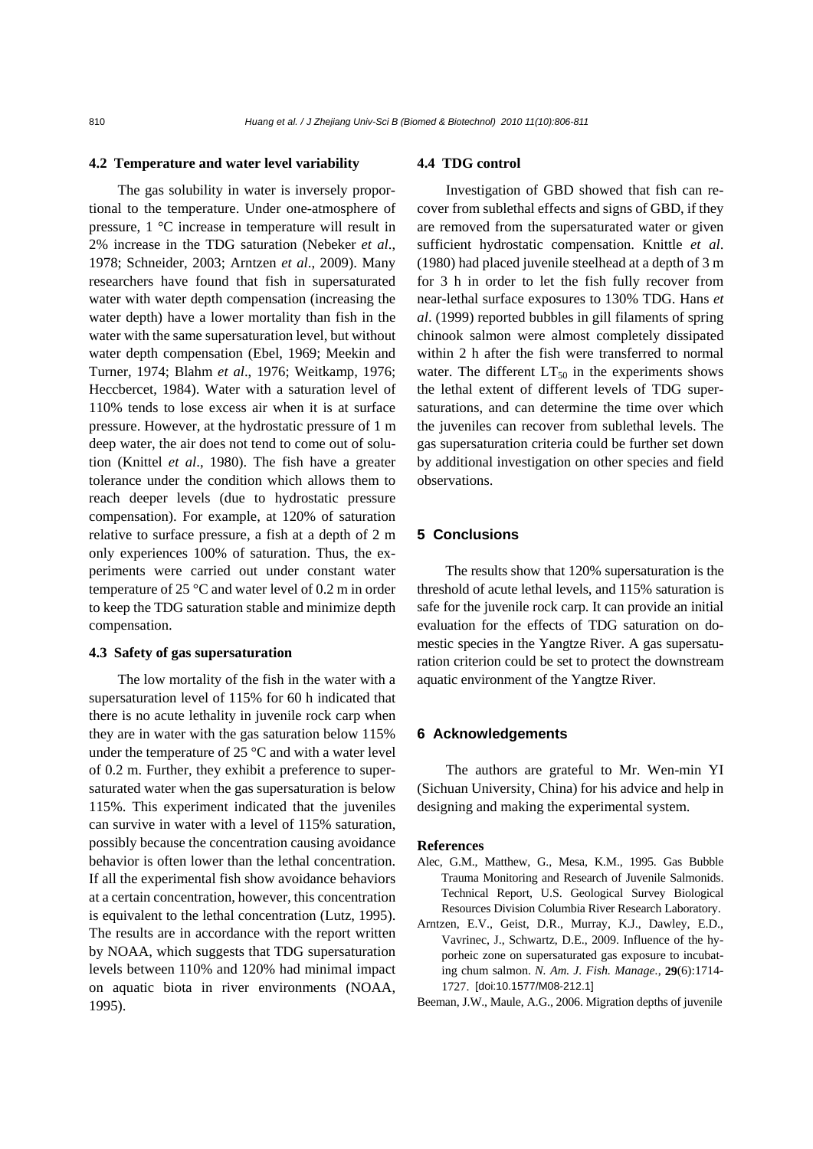#### **4.2 Temperature and water level variability**

The gas solubility in water is inversely proportional to the temperature. Under one-atmosphere of pressure, 1 °C increase in temperature will result in 2% increase in the TDG saturation (Nebeker *et al*., 1978; Schneider, 2003; Arntzen *et al*., 2009). Many researchers have found that fish in supersaturated water with water depth compensation (increasing the water depth) have a lower mortality than fish in the water with the same supersaturation level, but without water depth compensation (Ebel, 1969; Meekin and Turner, 1974; Blahm *et al*., 1976; Weitkamp, 1976; Heccbercet, 1984). Water with a saturation level of 110% tends to lose excess air when it is at surface pressure. However, at the hydrostatic pressure of 1 m deep water, the air does not tend to come out of solution (Knittel *et al*., 1980). The fish have a greater tolerance under the condition which allows them to reach deeper levels (due to hydrostatic pressure compensation). For example, at 120% of saturation relative to surface pressure, a fish at a depth of 2 m only experiences 100% of saturation. Thus, the experiments were carried out under constant water temperature of 25 °C and water level of 0.2 m in order to keep the TDG saturation stable and minimize depth compensation.

### **4.3 Safety of gas supersaturation**

The low mortality of the fish in the water with a supersaturation level of 115% for 60 h indicated that there is no acute lethality in juvenile rock carp when they are in water with the gas saturation below 115% under the temperature of 25 °C and with a water level of 0.2 m. Further, they exhibit a preference to supersaturated water when the gas supersaturation is below 115%. This experiment indicated that the juveniles can survive in water with a level of 115% saturation, possibly because the concentration causing avoidance behavior is often lower than the lethal concentration. If all the experimental fish show avoidance behaviors at a certain concentration, however, this concentration is equivalent to the lethal concentration (Lutz, 1995). The results are in accordance with the report written by NOAA, which suggests that TDG supersaturation levels between 110% and 120% had minimal impact on aquatic biota in river environments (NOAA, 1995).

## **4.4 TDG control**

Investigation of GBD showed that fish can recover from sublethal effects and signs of GBD, if they are removed from the supersaturated water or given sufficient hydrostatic compensation. Knittle *et al*. (1980) had placed juvenile steelhead at a depth of 3 m for 3 h in order to let the fish fully recover from near-lethal surface exposures to 130% TDG. Hans *et al*. (1999) reported bubbles in gill filaments of spring chinook salmon were almost completely dissipated within 2 h after the fish were transferred to normal water. The different  $LT_{50}$  in the experiments shows the lethal extent of different levels of TDG supersaturations, and can determine the time over which the juveniles can recover from sublethal levels. The gas supersaturation criteria could be further set down by additional investigation on other species and field observations.

## **5 Conclusions**

The results show that 120% supersaturation is the threshold of acute lethal levels, and 115% saturation is safe for the juvenile rock carp. It can provide an initial evaluation for the effects of TDG saturation on domestic species in the Yangtze River. A gas supersaturation criterion could be set to protect the downstream aquatic environment of the Yangtze River.

#### **6 Acknowledgements**

The authors are grateful to Mr. Wen-min YI (Sichuan University, China) for his advice and help in designing and making the experimental system.

#### **References**

- Alec, G.M., Matthew, G., Mesa, K.M., 1995. Gas Bubble Trauma Monitoring and Research of Juvenile Salmonids. Technical Report, U.S. Geological Survey Biological Resources Division Columbia River Research Laboratory.
- Arntzen, E.V., Geist, D.R., Murray, K.J., Dawley, E.D., Vavrinec, J., Schwartz, D.E., 2009. Influence of the hyporheic zone on supersaturated gas exposure to incubating chum salmon. *N. Am. J. Fish. Manage.*, **29**(6):1714- 1727. [doi:10.1577/M08-212.1]
- Beeman, J.W., Maule, A.G., 2006. Migration depths of juvenile